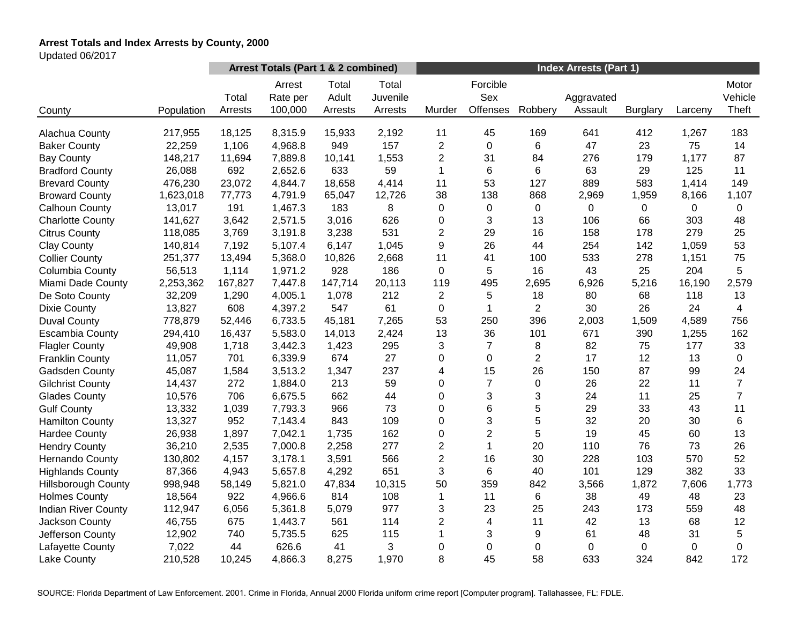# **Arrest Totals and Index Arrests by County, 2000**

Updated 06/2017

|                            |            | Arrest Totals (Part 1 & 2 combined) |                               |                           |                              | <b>Index Arrests (Part 1)</b> |                             |                  |                       |                 |             |                           |
|----------------------------|------------|-------------------------------------|-------------------------------|---------------------------|------------------------------|-------------------------------|-----------------------------|------------------|-----------------------|-----------------|-------------|---------------------------|
| County                     | Population | Total<br>Arrests                    | Arrest<br>Rate per<br>100,000 | Total<br>Adult<br>Arrests | Total<br>Juvenile<br>Arrests | Murder                        | Forcible<br>Sex<br>Offenses | Robbery          | Aggravated<br>Assault | <b>Burglary</b> | Larceny     | Motor<br>Vehicle<br>Theft |
|                            |            |                                     |                               |                           |                              |                               | 45                          |                  |                       |                 |             |                           |
| Alachua County             | 217,955    | 18,125                              | 8,315.9                       | 15,933                    | 2,192                        | 11                            | $\mathbf 0$                 | 169              | 641<br>47             | 412             | 1,267<br>75 | 183                       |
| <b>Baker County</b>        | 22,259     | 1,106                               | 4,968.8                       | 949                       | 157                          | $\overline{c}$                |                             | 6                |                       | 23              |             | 14                        |
| <b>Bay County</b>          | 148,217    | 11,694                              | 7,889.8                       | 10,141                    | 1,553                        | $\overline{2}$                | 31                          | 84               | 276                   | 179             | 1,177       | 87                        |
| <b>Bradford County</b>     | 26,088     | 692                                 | 2,652.6                       | 633                       | 59                           | 1                             | 6                           | 6                | 63                    | 29              | 125         | 11                        |
| <b>Brevard County</b>      | 476,230    | 23,072                              | 4,844.7                       | 18,658                    | 4,414                        | 11                            | 53                          | 127              | 889                   | 583             | 1,414       | 149                       |
| <b>Broward County</b>      | 1,623,018  | 77,773                              | 4,791.9                       | 65,047                    | 12,726                       | 38                            | 138                         | 868              | 2,969                 | 1,959           | 8,166       | 1,107                     |
| Calhoun County             | 13,017     | 191                                 | 1,467.3                       | 183                       | 8                            | 0                             | $\mathbf 0$                 | $\mathbf 0$      | 0                     | 0               | 0           | $\overline{0}$            |
| <b>Charlotte County</b>    | 141,627    | 3,642                               | 2,571.5                       | 3,016                     | 626                          | 0                             | 3                           | 13               | 106                   | 66              | 303         | 48                        |
| <b>Citrus County</b>       | 118,085    | 3,769                               | 3,191.8                       | 3,238                     | 531                          | $\overline{2}$                | 29                          | 16               | 158                   | 178             | 279         | 25                        |
| <b>Clay County</b>         | 140,814    | 7,192                               | 5,107.4                       | 6,147                     | 1,045                        | 9                             | 26                          | 44               | 254                   | 142             | 1,059       | 53                        |
| <b>Collier County</b>      | 251,377    | 13,494                              | 5,368.0                       | 10,826                    | 2,668                        | 11                            | 41                          | 100              | 533                   | 278             | 1,151       | 75                        |
| Columbia County            | 56,513     | 1,114                               | 1,971.2                       | 928                       | 186                          | $\mathbf 0$                   | 5                           | 16               | 43                    | 25              | 204         | 5                         |
| Miami Dade County          | 2,253,362  | 167,827                             | 7,447.8                       | 147,714                   | 20,113                       | 119                           | 495                         | 2,695            | 6,926                 | 5,216           | 16,190      | 2,579                     |
| De Soto County             | 32,209     | 1,290                               | 4,005.1                       | 1,078                     | 212                          | $\overline{c}$                | 5                           | 18               | 80                    | 68              | 118         | 13                        |
| <b>Dixie County</b>        | 13,827     | 608                                 | 4,397.2                       | 547                       | 61                           | 0                             |                             | $\overline{2}$   | 30                    | 26              | 24          | $\overline{4}$            |
| <b>Duval County</b>        | 778,879    | 52,446                              | 6,733.5                       | 45,181                    | 7,265                        | 53                            | 250                         | 396              | 2,003                 | 1,509           | 4,589       | 756                       |
| <b>Escambia County</b>     | 294,410    | 16,437                              | 5,583.0                       | 14,013                    | 2,424                        | 13                            | 36                          | 101              | 671                   | 390             | 1,255       | 162                       |
| <b>Flagler County</b>      | 49,908     | 1,718                               | 3,442.3                       | 1,423                     | 295                          | 3                             | $\overline{7}$              | 8                | 82                    | 75              | 177         | 33                        |
| <b>Franklin County</b>     | 11,057     | 701                                 | 6,339.9                       | 674                       | 27                           | 0                             | 0                           | $\overline{c}$   | 17                    | 12              | 13          | 0                         |
| Gadsden County             | 45,087     | 1,584                               | 3,513.2                       | 1,347                     | 237                          | 4                             | 15                          | 26               | 150                   | 87              | 99          | 24                        |
| <b>Gilchrist County</b>    | 14,437     | 272                                 | 1,884.0                       | 213                       | 59                           | 0                             | $\overline{7}$              | $\boldsymbol{0}$ | 26                    | 22              | 11          | $\overline{7}$            |
| <b>Glades County</b>       | 10,576     | 706                                 | 6,675.5                       | 662                       | 44                           | 0                             | 3                           | 3                | 24                    | 11              | 25          | $\overline{7}$            |
| <b>Gulf County</b>         | 13,332     | 1,039                               | 7,793.3                       | 966                       | 73                           | 0                             | 6                           | 5                | 29                    | 33              | 43          | 11                        |
| <b>Hamilton County</b>     | 13,327     | 952                                 | 7,143.4                       | 843                       | 109                          | 0                             | 3                           | 5                | 32                    | 20              | 30          | 6                         |
| <b>Hardee County</b>       | 26,938     | 1,897                               | 7,042.1                       | 1,735                     | 162                          | 0                             | $\overline{2}$              | 5                | 19                    | 45              | 60          | 13                        |
| <b>Hendry County</b>       | 36,210     | 2,535                               | 7,000.8                       | 2,258                     | 277                          | $\overline{2}$                | $\mathbf{1}$                | 20               | 110                   | 76              | 73          | 26                        |
| Hernando County            | 130,802    | 4,157                               | 3,178.1                       | 3,591                     | 566                          | $\overline{2}$                | 16                          | 30               | 228                   | 103             | 570         | 52                        |
| <b>Highlands County</b>    | 87,366     | 4,943                               | 5,657.8                       | 4,292                     | 651                          | 3                             | 6                           | 40               | 101                   | 129             | 382         | 33                        |
| <b>Hillsborough County</b> | 998,948    | 58,149                              | 5,821.0                       | 47,834                    | 10,315                       | 50                            | 359                         | 842              | 3,566                 | 1,872           | 7,606       | 1,773                     |
| <b>Holmes County</b>       | 18,564     | 922                                 | 4,966.6                       | 814                       | 108                          | $\mathbf{1}$                  | 11                          | 6                | 38                    | 49              | 48          | 23                        |
| <b>Indian River County</b> | 112,947    | 6,056                               | 5,361.8                       | 5,079                     | 977                          | 3                             | 23                          | 25               | 243                   | 173             | 559         | 48                        |
| Jackson County             | 46,755     | 675                                 | 1,443.7                       | 561                       | 114                          | $\overline{2}$                | 4                           | 11               | 42                    | 13              | 68          | 12                        |
| Jefferson County           | 12,902     | 740                                 | 5,735.5                       | 625                       | 115                          | 1                             | 3                           | 9                | 61                    | 48              | 31          | 5                         |
| Lafayette County           | 7,022      | 44                                  | 626.6                         | 41                        | 3                            | 0                             | 0                           | 0                | 0                     | 0               | 0           | $\mathbf 0$               |
| Lake County                | 210,528    | 10,245                              | 4,866.3                       | 8,275                     | 1,970                        | 8                             | 45                          | 58               | 633                   | 324             | 842         | 172                       |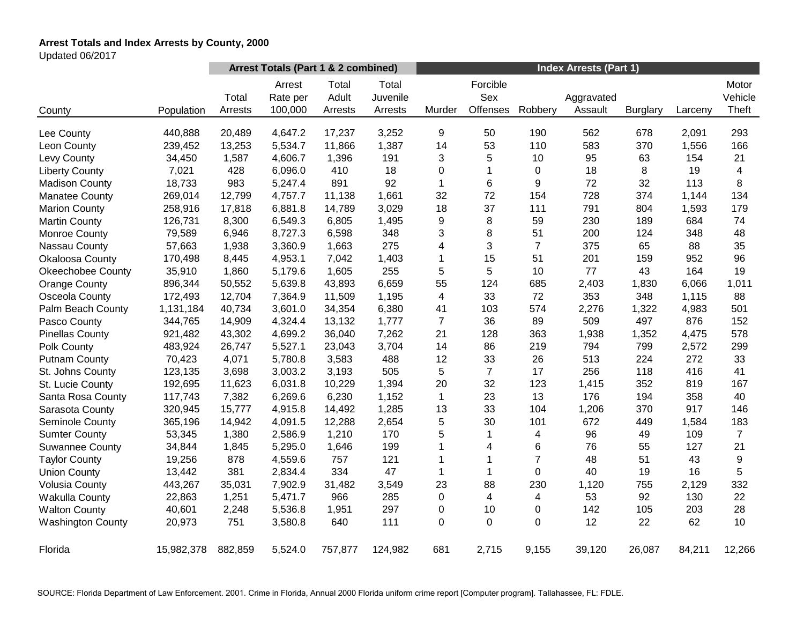# **Arrest Totals and Index Arrests by County, 2000**

Updated 06/2017

|                          |            | Arrest Totals (Part 1 & 2 combined) |                               |                           |                              | <b>Index Arrests (Part 1)</b> |                             |                |                       |                 |         |                           |
|--------------------------|------------|-------------------------------------|-------------------------------|---------------------------|------------------------------|-------------------------------|-----------------------------|----------------|-----------------------|-----------------|---------|---------------------------|
| County                   | Population | Total<br>Arrests                    | Arrest<br>Rate per<br>100,000 | Total<br>Adult<br>Arrests | Total<br>Juvenile<br>Arrests | Murder                        | Forcible<br>Sex<br>Offenses | Robbery        | Aggravated<br>Assault | <b>Burglary</b> | Larceny | Motor<br>Vehicle<br>Theft |
| Lee County               | 440,888    | 20,489                              | 4,647.2                       | 17,237                    | 3,252                        | 9                             | 50                          | 190            | 562                   | 678             | 2,091   | 293                       |
| Leon County              | 239,452    | 13,253                              | 5,534.7                       | 11,866                    | 1,387                        | 14                            | 53                          | 110            | 583                   | 370             | 1,556   | 166                       |
| Levy County              | 34,450     | 1,587                               | 4,606.7                       | 1,396                     | 191                          | 3                             | 5                           | 10             | 95                    | 63              | 154     | 21                        |
| <b>Liberty County</b>    | 7,021      | 428                                 | 6,096.0                       | 410                       | 18                           | 0                             | 1                           | $\pmb{0}$      | 18                    | 8               | 19      | 4                         |
| <b>Madison County</b>    | 18,733     | 983                                 | 5,247.4                       | 891                       | 92                           | $\mathbf{1}$                  | 6                           | 9              | 72                    | 32              | 113     | 8                         |
| <b>Manatee County</b>    | 269,014    | 12,799                              | 4,757.7                       | 11,138                    | 1,661                        | 32                            | 72                          | 154            | 728                   | 374             | 1,144   | 134                       |
| <b>Marion County</b>     | 258,916    | 17,818                              | 6,881.8                       | 14,789                    | 3,029                        | 18                            | 37                          | 111            | 791                   | 804             | 1,593   | 179                       |
| <b>Martin County</b>     | 126,731    | 8,300                               | 6,549.3                       | 6,805                     | 1,495                        | 9                             | 8                           | 59             | 230                   | 189             | 684     | 74                        |
| <b>Monroe County</b>     | 79,589     | 6,946                               | 8,727.3                       | 6,598                     | 348                          | 3                             | 8                           | 51             | 200                   | 124             | 348     | 48                        |
| Nassau County            | 57,663     | 1,938                               | 3,360.9                       | 1,663                     | 275                          | 4                             | 3                           | $\overline{7}$ | 375                   | 65              | 88      | 35                        |
| Okaloosa County          | 170,498    | 8,445                               | 4,953.1                       | 7,042                     | 1,403                        | 1                             | 15                          | 51             | 201                   | 159             | 952     | 96                        |
| <b>Okeechobee County</b> | 35,910     | 1,860                               | 5,179.6                       | 1,605                     | 255                          | 5                             | 5                           | 10             | 77                    | 43              | 164     | 19                        |
| <b>Orange County</b>     | 896,344    | 50,552                              | 5,639.8                       | 43,893                    | 6,659                        | 55                            | 124                         | 685            | 2,403                 | 1,830           | 6,066   | 1,011                     |
| Osceola County           | 172,493    | 12,704                              | 7,364.9                       | 11,509                    | 1,195                        | 4                             | 33                          | 72             | 353                   | 348             | 1,115   | 88                        |
| Palm Beach County        | 1,131,184  | 40,734                              | 3,601.0                       | 34,354                    | 6,380                        | 41                            | 103                         | 574            | 2,276                 | 1,322           | 4,983   | 501                       |
| Pasco County             | 344,765    | 14,909                              | 4,324.4                       | 13,132                    | 1,777                        | $\overline{7}$                | 36                          | 89             | 509                   | 497             | 876     | 152                       |
| <b>Pinellas County</b>   | 921,482    | 43,302                              | 4,699.2                       | 36,040                    | 7,262                        | 21                            | 128                         | 363            | 1,938                 | 1,352           | 4,475   | 578                       |
| Polk County              | 483,924    | 26,747                              | 5,527.1                       | 23,043                    | 3,704                        | 14                            | 86                          | 219            | 794                   | 799             | 2,572   | 299                       |
| <b>Putnam County</b>     | 70,423     | 4,071                               | 5,780.8                       | 3,583                     | 488                          | 12                            | 33                          | 26             | 513                   | 224             | 272     | 33                        |
| St. Johns County         | 123,135    | 3,698                               | 3,003.2                       | 3,193                     | 505                          | 5                             | $\overline{7}$              | 17             | 256                   | 118             | 416     | 41                        |
| St. Lucie County         | 192,695    | 11,623                              | 6,031.8                       | 10,229                    | 1,394                        | 20                            | 32                          | 123            | 1,415                 | 352             | 819     | 167                       |
| Santa Rosa County        | 117,743    | 7,382                               | 6,269.6                       | 6,230                     | 1,152                        | 1                             | 23                          | 13             | 176                   | 194             | 358     | 40                        |
| Sarasota County          | 320,945    | 15,777                              | 4,915.8                       | 14,492                    | 1,285                        | 13                            | 33                          | 104            | 1,206                 | 370             | 917     | 146                       |
| Seminole County          | 365,196    | 14,942                              | 4,091.5                       | 12,288                    | 2,654                        | 5                             | 30                          | 101            | 672                   | 449             | 1,584   | 183                       |
| <b>Sumter County</b>     | 53,345     | 1,380                               | 2,586.9                       | 1,210                     | 170                          | 5                             | 1                           | 4              | 96                    | 49              | 109     | $\overline{7}$            |
| <b>Suwannee County</b>   | 34,844     | 1,845                               | 5,295.0                       | 1,646                     | 199                          | 1                             | 4                           | 6              | 76                    | 55              | 127     | 21                        |
| <b>Taylor County</b>     | 19,256     | 878                                 | 4,559.6                       | 757                       | 121                          | 1                             | $\mathbf{1}$                | $\overline{7}$ | 48                    | 51              | 43      | $\boldsymbol{9}$          |
| <b>Union County</b>      | 13,442     | 381                                 | 2,834.4                       | 334                       | 47                           | 1                             | 1                           | 0              | 40                    | 19              | 16      | 5                         |
| <b>Volusia County</b>    | 443,267    | 35,031                              | 7,902.9                       | 31,482                    | 3,549                        | 23                            | 88                          | 230            | 1,120                 | 755             | 2,129   | 332                       |
| <b>Wakulla County</b>    | 22,863     | 1,251                               | 5,471.7                       | 966                       | 285                          | 0                             | 4                           | 4              | 53                    | 92              | 130     | 22                        |
| <b>Walton County</b>     | 40,601     | 2,248                               | 5,536.8                       | 1,951                     | 297                          | 0                             | 10                          | 0              | 142                   | 105             | 203     | 28                        |
| <b>Washington County</b> | 20,973     | 751                                 | 3,580.8                       | 640                       | 111                          | 0                             | $\mathbf 0$                 | 0              | 12                    | 22              | 62      | 10                        |
| Florida                  | 15,982,378 | 882,859                             | 5,524.0                       | 757,877                   | 124,982                      | 681                           | 2,715                       | 9,155          | 39,120                | 26,087          | 84,211  | 12,266                    |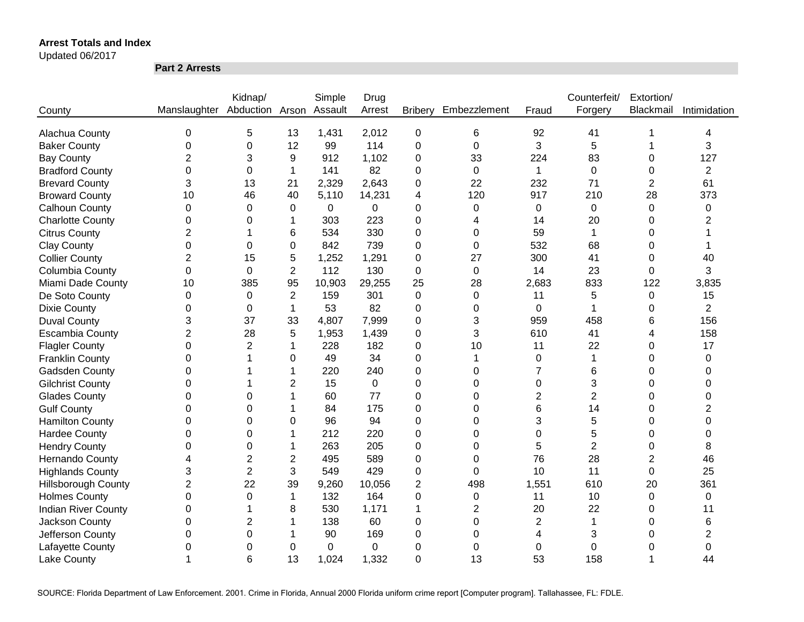Updated 06/2017

**Part 2 Arrests**

|                            |                              | Kidnap/        |                | Simple  | Drug     |                |                  |                | Counterfeit/   | Extortion/     |                |
|----------------------------|------------------------------|----------------|----------------|---------|----------|----------------|------------------|----------------|----------------|----------------|----------------|
| County                     | Manslaughter Abduction Arson |                |                | Assault | Arrest   | <b>Bribery</b> | Embezzlement     | Fraud          | Forgery        | Blackmail      | Intimidation   |
|                            |                              |                |                |         |          |                |                  |                |                |                |                |
| Alachua County             | 0                            | 5              | 13             | 1,431   | 2,012    | $\mathbf 0$    | 6                | 92             | 41             |                | 4              |
| <b>Baker County</b>        | 0                            | 0              | 12             | 99      | 114      | 0              | $\mathbf 0$      | 3              | 5              |                | 3              |
| <b>Bay County</b>          | $\overline{2}$               | 3              | 9              | 912     | 1,102    | 0              | 33               | 224            | 83             | 0              | 127            |
| <b>Bradford County</b>     | 0                            | 0              | 1              | 141     | 82       | 0              | $\mathbf 0$      | 1              | $\mathbf 0$    | 0              | $\overline{c}$ |
| <b>Brevard County</b>      | 3                            | 13             | 21             | 2,329   | 2,643    | 0              | 22               | 232            | 71             | $\overline{2}$ | 61             |
| <b>Broward County</b>      | 10                           | 46             | 40             | 5,110   | 14,231   | 4              | 120              | 917            | 210            | 28             | 373            |
| <b>Calhoun County</b>      | 0                            | 0              | 0              | 0       | 0        | 0              | 0                | $\pmb{0}$      | 0              | 0              | 0              |
| <b>Charlotte County</b>    | 0                            | 0              | 1              | 303     | 223      | 0              | 4                | 14             | 20             | 0              | 2              |
| <b>Citrus County</b>       | $\overline{2}$               |                | 6              | 534     | 330      | 0              | 0                | 59             | $\mathbf 1$    | 0              |                |
| <b>Clay County</b>         | 0                            | 0              | 0              | 842     | 739      | 0              | 0                | 532            | 68             | 0              |                |
| <b>Collier County</b>      | $\overline{2}$               | 15             | 5              | 1,252   | 1,291    | 0              | 27               | 300            | 41             | 0              | 40             |
| Columbia County            | $\mathbf 0$                  | $\Omega$       | $\overline{2}$ | 112     | 130      | 0              | 0                | 14             | 23             | 0              | 3              |
| Miami Dade County          | 10                           | 385            | 95             | 10,903  | 29,255   | 25             | 28               | 2,683          | 833            | 122            | 3,835          |
| De Soto County             | $\boldsymbol{0}$             | 0              | $\overline{2}$ | 159     | 301      | 0              | $\boldsymbol{0}$ | 11             | 5              | $\pmb{0}$      | 15             |
| <b>Dixie County</b>        | 0                            | 0              | 1              | 53      | 82       | 0              | $\Omega$         | 0              | 1              | 0              | $\overline{2}$ |
| <b>Duval County</b>        | 3                            | 37             | 33             | 4,807   | 7,999    | 0              | 3                | 959            | 458            | 6              | 156            |
| <b>Escambia County</b>     | $\overline{2}$               | 28             | 5              | 1,953   | 1,439    | 0              | 3                | 610            | 41             | 4              | 158            |
| <b>Flagler County</b>      | $\Omega$                     | $\overline{2}$ | 1              | 228     | 182      | 0              | 10               | 11             | 22             | 0              | 17             |
| <b>Franklin County</b>     | 0                            |                | 0              | 49      | 34       | 0              | 1                | 0              | 1              | 0              | $\Omega$       |
| Gadsden County             | 0                            |                | 1              | 220     | 240      | 0              | $\Omega$         | 7              | 6              | 0              | $\Omega$       |
| <b>Gilchrist County</b>    | 0                            |                | $\overline{2}$ | 15      | $\Omega$ | 0              | $\Omega$         | 0              | 3              | 0              | $\Omega$       |
| <b>Glades County</b>       | 0                            | 0              | 1              | 60      | 77       | 0              | $\Omega$         | 2              | $\overline{2}$ | 0              | 0              |
| <b>Gulf County</b>         | 0                            | 0              |                | 84      | 175      | 0              | $\Omega$         | 6              | 14             | 0              | 2              |
| <b>Hamilton County</b>     | 0                            | 0              | 0              | 96      | 94       | 0              | $\Omega$         | 3              | 5              | 0              | 0              |
| <b>Hardee County</b>       | 0                            | 0              | 1              | 212     | 220      | 0              | 0                | 0              | 5              | 0              | 0              |
| <b>Hendry County</b>       | 0                            | 0              | 1              | 263     | 205      | 0              | 0                | 5              | $\overline{2}$ | 0              | 8              |
| Hernando County            | 4                            | 2              | $\overline{c}$ | 495     | 589      | 0              | $\Omega$         | 76             | 28             | $\overline{2}$ | 46             |
| <b>Highlands County</b>    | 3                            | $\overline{2}$ | 3              | 549     | 429      | 0              | 0                | 10             | 11             | 0              | 25             |
| <b>Hillsborough County</b> | $\overline{2}$               | 22             | 39             | 9,260   | 10,056   | $\overline{c}$ | 498              | 1,551          | 610            | 20             | 361            |
| <b>Holmes County</b>       | 0                            | 0              | 1              | 132     | 164      | 0              | 0                | 11             | 10             | 0              | 0              |
| <b>Indian River County</b> | 0                            |                | 8              | 530     | 1,171    | 1              | $\overline{2}$   | 20             | 22             | 0              | 11             |
| Jackson County             | $\mathbf 0$                  | $\overline{2}$ |                | 138     | 60       | 0              | $\boldsymbol{0}$ | $\overline{c}$ | 1              | 0              | 6              |
| Jefferson County           | 0                            | 0              |                | 90      | 169      | 0              | 0                | 4              | 3              | 0              | 2              |
| Lafayette County           | 0                            | 0              | 0              | 0       | 0        | 0              | 0                | 0              | 0              | 0              | 0              |
| <b>Lake County</b>         |                              | 6              | 13             | 1,024   | 1,332    | 0              | 13               | 53             | 158            |                | 44             |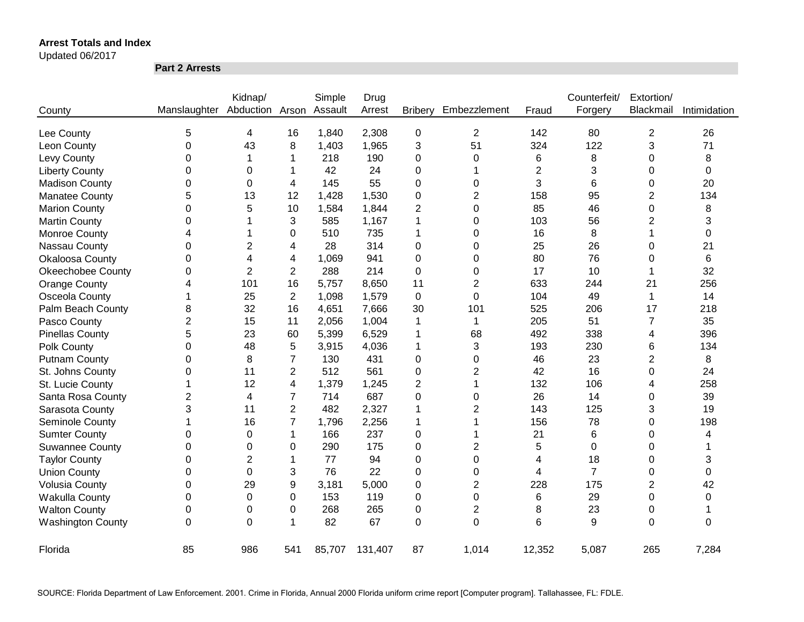#### Updated 06/2017

**Part 2 Arrests**

|                          |                | Kidnap/                 |                | Simple | Drug    |                  |                |                | Counterfeit/   | Extortion/     |              |
|--------------------------|----------------|-------------------------|----------------|--------|---------|------------------|----------------|----------------|----------------|----------------|--------------|
| County                   | Manslaughter   | Abduction Arson Assault |                |        | Arrest  | <b>Bribery</b>   | Embezzlement   | Fraud          | Forgery        | Blackmail      | Intimidation |
| Lee County               | 5              | 4                       | 16             | 1,840  | 2,308   | $\boldsymbol{0}$ | $\overline{2}$ | 142            | 80             | $\overline{2}$ | 26           |
| Leon County              | 0              | 43                      | 8              | 1,403  | 1,965   | 3                | 51             | 324            | 122            | 3              | 71           |
| Levy County              | 0              |                         | 1              | 218    | 190     | 0                | 0              | 6              | 8              | 0              | 8            |
| <b>Liberty County</b>    | 0              | 0                       | 1              | 42     | 24      | 0                | 1              | $\overline{2}$ | 3              | 0              | 0            |
| <b>Madison County</b>    | 0              | 0                       | 4              | 145    | 55      | 0                | 0              | 3              | 6              | 0              | 20           |
| <b>Manatee County</b>    | 5              | 13                      | 12             | 1,428  | 1,530   | 0                | $\overline{c}$ | 158            | 95             | 2              | 134          |
| <b>Marion County</b>     | 0              | 5                       | 10             | 1,584  | 1,844   | 2                | 0              | 85             | 46             | 0              | 8            |
| <b>Martin County</b>     | 0              |                         | 3              | 585    | 1,167   | 1                | 0              | 103            | 56             | 2              | 3            |
| Monroe County            | 4              |                         | 0              | 510    | 735     | 1                | 0              | 16             | 8              |                | 0            |
| Nassau County            | 0              | $\overline{2}$          | 4              | 28     | 314     | 0                | 0              | 25             | 26             | 0              | 21           |
| Okaloosa County          | 0              | 4                       | 4              | 1,069  | 941     | 0                | 0              | 80             | 76             | 0              | 6            |
| <b>Okeechobee County</b> | 0              | $\overline{2}$          | $\overline{2}$ | 288    | 214     | 0                | 0              | 17             | 10             | 1              | 32           |
| <b>Orange County</b>     | 4              | 101                     | 16             | 5,757  | 8,650   | 11               | $\overline{2}$ | 633            | 244            | 21             | 256          |
| Osceola County           | 1              | 25                      | $\overline{2}$ | 1,098  | 1,579   | $\boldsymbol{0}$ | $\mathbf 0$    | 104            | 49             | $\mathbf{1}$   | 14           |
| Palm Beach County        | 8              | 32                      | 16             | 4,651  | 7,666   | 30               | 101            | 525            | 206            | 17             | 218          |
| Pasco County             | $\overline{c}$ | 15                      | 11             | 2,056  | 1,004   | 1                | 1              | 205            | 51             | $\overline{7}$ | 35           |
| <b>Pinellas County</b>   | 5              | 23                      | 60             | 5,399  | 6,529   | 1                | 68             | 492            | 338            | 4              | 396          |
| Polk County              | 0              | 48                      | 5              | 3,915  | 4,036   | 1                | 3              | 193            | 230            | 6              | 134          |
| <b>Putnam County</b>     | 0              | 8                       | 7              | 130    | 431     | 0                | 0              | 46             | 23             | 2              | 8            |
| St. Johns County         | 0              | 11                      | 2              | 512    | 561     | 0                | 2              | 42             | 16             | 0              | 24           |
| St. Lucie County         | 1              | 12                      | 4              | 1,379  | 1,245   | 2                | -1             | 132            | 106            | 4              | 258          |
| Santa Rosa County        | 2              | 4                       | 7              | 714    | 687     | 0                | 0              | 26             | 14             | 0              | 39           |
| Sarasota County          | 3              | 11                      | $\overline{2}$ | 482    | 2,327   | 1                | 2              | 143            | 125            | 3              | 19           |
| Seminole County          |                | 16                      | $\overline{7}$ | 1,796  | 2,256   | 1                |                | 156            | 78             | 0              | 198          |
| <b>Sumter County</b>     | 0              | 0                       | 1              | 166    | 237     | 0                |                | 21             | 6              | 0              | 4            |
| <b>Suwannee County</b>   | 0              | 0                       | 0              | 290    | 175     | 0                | $\overline{2}$ | 5              | 0              | 0              |              |
| <b>Taylor County</b>     | 0              | $\overline{2}$          | 1              | 77     | 94      | 0                | 0              | 4              | 18             | 0              | 3            |
| <b>Union County</b>      | 0              | 0                       | 3              | 76     | 22      | 0                | 0              | 4              | $\overline{7}$ | 0              | 0            |
| <b>Volusia County</b>    | 0              | 29                      | 9              | 3,181  | 5,000   | 0                | 2              | 228            | 175            | 2              | 42           |
| Wakulla County           | 0              | 0                       | 0              | 153    | 119     | 0                | 0              | 6              | 29             | 0              | 0            |
| <b>Walton County</b>     | 0              | 0                       | 0              | 268    | 265     | 0                | $\overline{2}$ | 8              | 23             | 0              |              |
| <b>Washington County</b> | 0              | $\Omega$                | 1              | 82     | 67      | 0                | $\Omega$       | 6              | 9              | $\Omega$       | 0            |
| Florida                  | 85             | 986                     | 541            | 85,707 | 131,407 | 87               | 1,014          | 12,352         | 5,087          | 265            | 7,284        |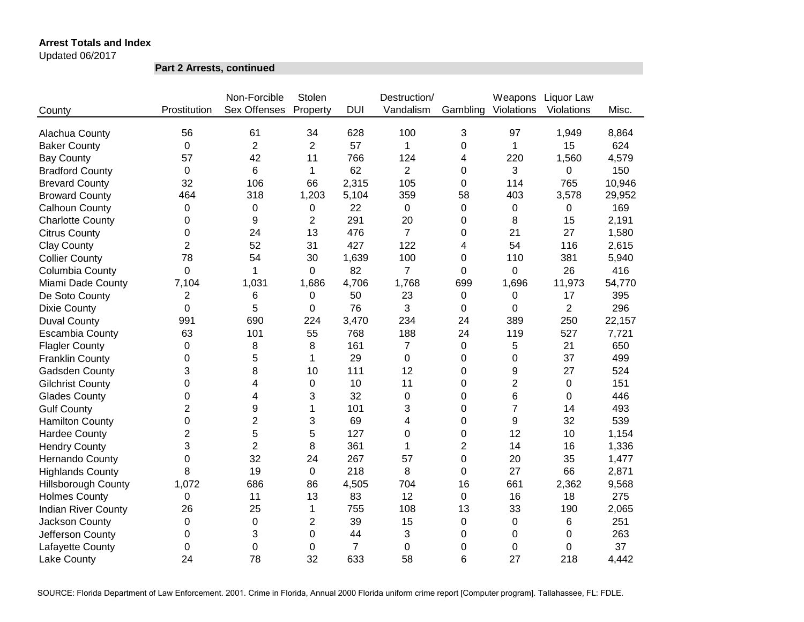Updated 06/2017

**Part 2 Arrests, continued**

|                            |                | Non-Forcible   | Stolen         |                | Destruction/   |          | Weapons        | Liquor Law     |        |
|----------------------------|----------------|----------------|----------------|----------------|----------------|----------|----------------|----------------|--------|
| County                     | Prostitution   | Sex Offenses   | Property       | <b>DUI</b>     | Vandalism      | Gambling | Violations     | Violations     | Misc.  |
| Alachua County             | 56             | 61             | 34             | 628            | 100            | 3        | 97             | 1,949          | 8,864  |
| <b>Baker County</b>        | 0              | $\overline{2}$ | $\overline{2}$ | 57             | 1              | 0        | 1              | 15             | 624    |
| <b>Bay County</b>          | 57             | 42             | 11             | 766            | 124            | 4        | 220            | 1,560          | 4,579  |
| <b>Bradford County</b>     | 0              | 6              | $\mathbf{1}$   | 62             | $\overline{2}$ | 0        | 3              | $\mathbf 0$    | 150    |
| <b>Brevard County</b>      | 32             | 106            | 66             | 2,315          | 105            | 0        | 114            | 765            | 10,946 |
| <b>Broward County</b>      | 464            | 318            | 1,203          | 5,104          | 359            | 58       | 403            | 3,578          | 29,952 |
| Calhoun County             | 0              | 0              | 0              | 22             | 0              | 0        | 0              | 0              | 169    |
| <b>Charlotte County</b>    | 0              | 9              | 2              | 291            | 20             | 0        | 8              | 15             | 2,191  |
| <b>Citrus County</b>       | 0              | 24             | 13             | 476            | $\overline{7}$ | 0        | 21             | 27             | 1,580  |
| <b>Clay County</b>         | 2              | 52             | 31             | 427            | 122            | 4        | 54             | 116            | 2,615  |
| <b>Collier County</b>      | 78             | 54             | 30             | 1,639          | 100            | 0        | 110            | 381            | 5,940  |
| Columbia County            | 0              | 1              | 0              | 82             | $\overline{7}$ | 0        | 0              | 26             | 416    |
| Miami Dade County          | 7,104          | 1,031          | 1,686          | 4,706          | 1,768          | 699      | 1,696          | 11,973         | 54,770 |
| De Soto County             | $\overline{2}$ | 6              | 0              | 50             | 23             | 0        | 0              | 17             | 395    |
| <b>Dixie County</b>        | 0              | 5              | 0              | 76             | 3              | 0        | 0              | $\overline{2}$ | 296    |
| <b>Duval County</b>        | 991            | 690            | 224            | 3,470          | 234            | 24       | 389            | 250            | 22,157 |
| <b>Escambia County</b>     | 63             | 101            | 55             | 768            | 188            | 24       | 119            | 527            | 7,721  |
| <b>Flagler County</b>      | 0              | 8              | 8              | 161            | 7              | 0        | 5              | 21             | 650    |
| <b>Franklin County</b>     | 0              | 5              | 1              | 29             | $\overline{0}$ | $\Omega$ | 0              | 37             | 499    |
| Gadsden County             | 3              | 8              | 10             | 111            | 12             | 0        | 9              | 27             | 524    |
| <b>Gilchrist County</b>    | $\Omega$       | 4              | $\mathbf 0$    | 10             | 11             | 0        | $\overline{2}$ | $\mathbf 0$    | 151    |
| <b>Glades County</b>       | 0              | 4              | 3              | 32             | $\mathbf 0$    | 0        | 6              | $\Omega$       | 446    |
| <b>Gulf County</b>         | $\overline{2}$ | 9              | $\mathbf{1}$   | 101            | 3              | $\Omega$ | $\overline{7}$ | 14             | 493    |
| <b>Hamilton County</b>     | 0              | $\overline{2}$ | 3              | 69             | 4              | 0        | 9              | 32             | 539    |
| <b>Hardee County</b>       | $\overline{2}$ | 5              | 5              | 127            | 0              | 0        | 12             | 10             | 1,154  |
| <b>Hendry County</b>       | 3              | $\overline{2}$ | 8              | 361            | 1              | 2        | 14             | 16             | 1,336  |
| <b>Hernando County</b>     | 0              | 32             | 24             | 267            | 57             | 0        | 20             | 35             | 1,477  |
| <b>Highlands County</b>    | 8              | 19             | $\mathbf 0$    | 218            | 8              | 0        | 27             | 66             | 2,871  |
| <b>Hillsborough County</b> | 1,072          | 686            | 86             | 4,505          | 704            | 16       | 661            | 2,362          | 9,568  |
| <b>Holmes County</b>       | 0              | 11             | 13             | 83             | 12             | 0        | 16             | 18             | 275    |
| <b>Indian River County</b> | 26             | 25             | 1              | 755            | 108            | 13       | 33             | 190            | 2,065  |
| Jackson County             | 0              | 0              | $\overline{2}$ | 39             | 15             | 0        | $\pmb{0}$      | 6              | 251    |
| Jefferson County           | 0              | 3              | 0              | 44             | 3              | 0        | 0              | $\mathbf 0$    | 263    |
| Lafayette County           | 0              | 0              | 0              | $\overline{7}$ | 0              | 0        | 0              | $\mathbf 0$    | 37     |
| Lake County                | 24             | 78             | 32             | 633            | 58             | 6        | 27             | 218            | 4,442  |